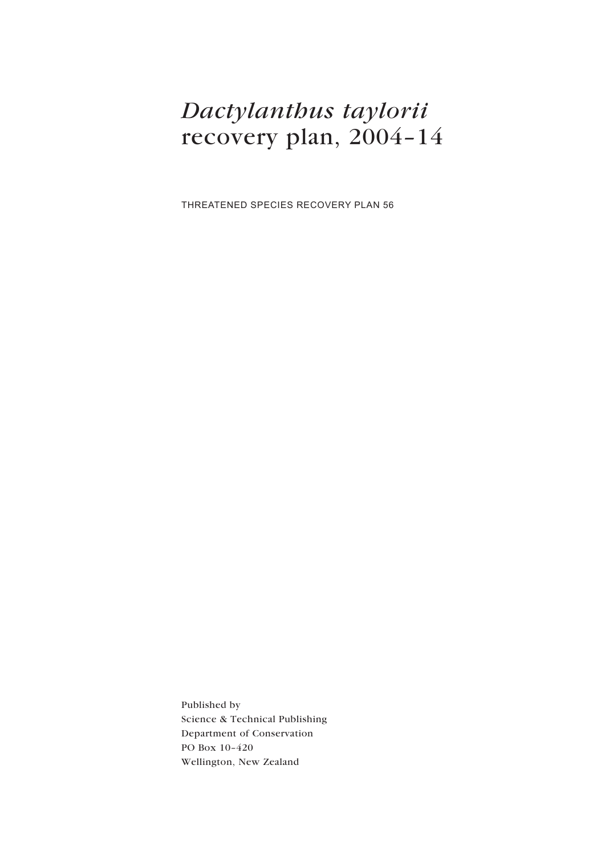# *Dactylanthus taylorii* recovery plan, 2004–14

THREATENED SPECIES RECOVERY PLAN 56

Published by Science & Technical Publishing Department of Conservation PO Box 10–420 Wellington, New Zealand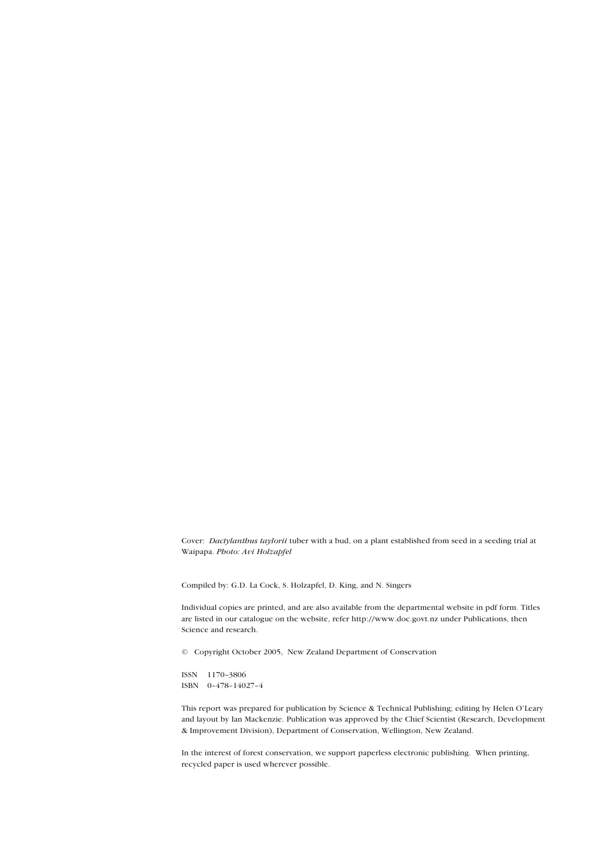Cover: *Dactylanthus taylorii* tuber with a bud, on a plant established from seed in a seeding trial at Waipapa. *Photo: Avi Holzapfel*

Compiled by: G.D. La Cock, S. Holzapfel, D. King, and N. Singers

Individual copies are printed, and are also available from the departmental website in pdf form. Titles are listed in our catalogue on the website, refer http://www.doc.govt.nz under Publications, then Science and research.

© Copyright October 2005, New Zealand Department of Conservation

ISSN 1170–3806 ISBN 0–478–14027–4

This report was prepared for publication by Science & Technical Publishing; editing by Helen O'Leary and layout by Ian Mackenzie. Publication was approved by the Chief Scientist (Research, Development & Improvement Division), Department of Conservation, Wellington, New Zealand.

In the interest of forest conservation, we support paperless electronic publishing. When printing, recycled paper is used wherever possible.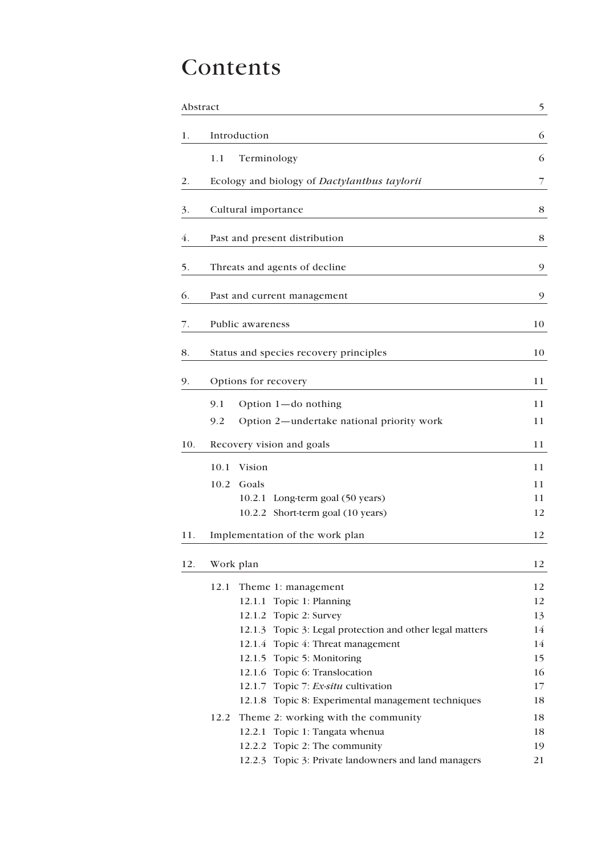# Contents

|     | Abstract                                                 |               |
|-----|----------------------------------------------------------|---------------|
| 1.  | Introduction                                             | 6             |
|     | 1.1<br>Terminology                                       | 6             |
| 2.  | Ecology and biology of Dactylanthus taylorii             | 7             |
| 3.  | Cultural importance                                      | 8             |
| 4.  | Past and present distribution                            | 8             |
| 5.  | Threats and agents of decline                            | $\mathcal{P}$ |
| 6.  | Past and current management                              | 9             |
| 7.  | Public awareness                                         | 10            |
| 8.  | Status and species recovery principles                   | 10            |
| 9.  | Options for recovery                                     | 11            |
|     | 9.1<br>Option $1$ —do nothing                            | 11            |
|     | Option 2-undertake national priority work<br>9.2         | 11            |
| 10. | Recovery vision and goals                                | 11            |
|     | 10.1<br>Vision                                           | 11            |
|     | 10.2<br>Goals                                            | 11            |
|     | 10.2.1<br>Long-term goal (50 years)                      | 11            |
|     | 10.2.2 Short-term goal (10 years)                        | 12            |
| 11. | Implementation of the work plan                          | 12            |
| 12. | Work plan                                                | 12            |
|     | 12.1<br>Theme 1: management                              | 12            |
|     | 12.1.1 Topic 1: Planning                                 | 12            |
|     | Topic 2: Survey<br>12.1.2                                | 13            |
|     | 12.1.3 Topic 3: Legal protection and other legal matters | 14            |
|     | 12.1.4 Topic 4: Threat management                        | 14            |
|     | 12.1.5 Topic 5: Monitoring                               | 15            |
|     | 12.1.6 Topic 6: Translocation                            | 16            |
|     | Topic 7: Ex-situ cultivation<br>12.1.7                   | 17            |
|     | Topic 8: Experimental management techniques<br>12.1.8    | 18            |
|     | 12.2<br>Theme 2: working with the community              | 18            |
|     | Topic 1: Tangata whenua<br>12.2.1                        | 18            |
|     | Topic 2: The community<br>12.2.2                         | 19            |
|     | 12.2.3 Topic 3: Private landowners and land managers     | 21            |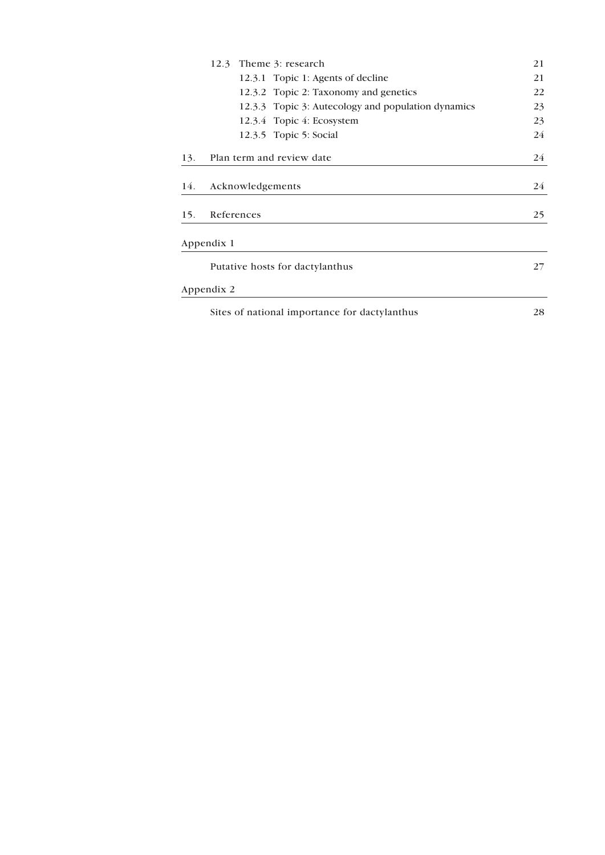|     | 12.3 Theme 3: research                             | 21 |
|-----|----------------------------------------------------|----|
|     | 12.3.1 Topic 1: Agents of decline                  | 21 |
|     | 12.3.2 Topic 2: Taxonomy and genetics              | 22 |
|     | 12.3.3 Topic 3: Autecology and population dynamics | 23 |
|     | 12.3.4 Topic 4: Ecosystem                          | 23 |
|     | 12.3.5 Topic 5: Social                             | 24 |
| 13. | Plan term and review date                          | 24 |
| 14. | Acknowledgements                                   | 24 |
| 15. | References                                         | 25 |
|     | Appendix 1                                         |    |
|     | Putative hosts for dactylanthus                    |    |
|     | Appendix 2                                         |    |
|     | Sites of national importance for dactylanthus      | 28 |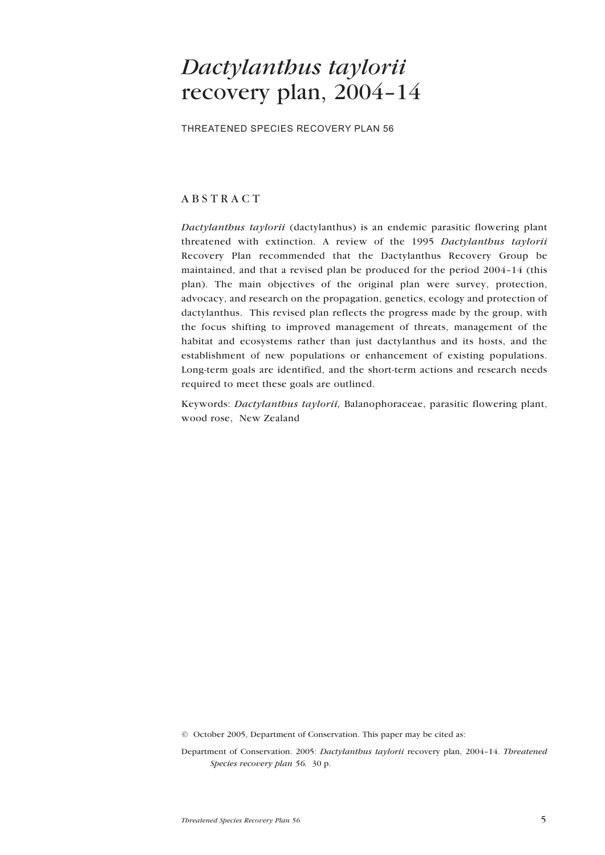## <span id="page-4-0"></span>*Dactylanthus taylorii* recovery plan, 2004–14

THREATENED SPECIES RECOVERY PLAN 56

## ABSTRACT

*Dactylanthus taylorii* (dactylanthus) is an endemic parasitic flowering plant threatened with extinction. A review of the 1995 *Dactylanthus taylorii* Recovery Plan recommended that the Dactylanthus Recovery Group be maintained, and that a revised plan be produced for the period 2004–14 (this plan). The main objectives of the original plan were survey, protection, advocacy, and research on the propagation, genetics, ecology and protection of dactylanthus. This revised plan reflects the progress made by the group, with the focus shifting to improved management of threats, management of the habitat and ecosystems rather than just dactylanthus and its hosts, and the establishment of new populations or enhancement of existing populations. Long-term goals are identified, and the short-term actions and research needs required to meet these goals are outlined.

Keywords: *Dactylanthus taylorii,* Balanophoraceae, parasitic flowering plant, wood rose, New Zealand

© October 2005, Department of Conservation. This paper may be cited as:

Department of Conservation. 2005: *Dactylanthus taylorii* recovery plan, 2004–14. *Threatened Species recovery plan 56.* 30 p.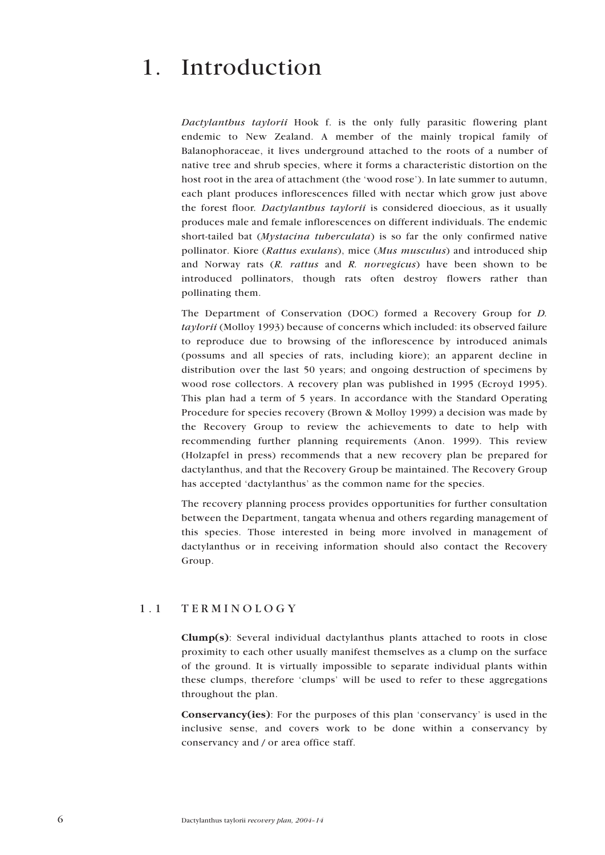## <span id="page-5-0"></span>1. Introduction

*Dactylanthus taylorii* Hook f. is the only fully parasitic flowering plant endemic to New Zealand. A member of the mainly tropical family of Balanophoraceae, it lives underground attached to the roots of a number of native tree and shrub species, where it forms a characteristic distortion on the host root in the area of attachment (the 'wood rose'). In late summer to autumn, each plant produces inflorescences filled with nectar which grow just above the forest floor*. Dactylanthus taylorii* is considered dioecious, as it usually produces male and female inflorescences on different individuals. The endemic short-tailed bat (*Mystacina tuberculata*) is so far the only confirmed native pollinator. Kiore (*Rattus exulans*), mice (*Mus musculus*) and introduced ship and Norway rats (*R. rattus* and *R. norvegicus*) have been shown to be introduced pollinators, though rats often destroy flowers rather than pollinating them.

The Department of Conservation (DOC) formed a Recovery Group for *D. taylorii* (Molloy 1993) because of concerns which included: its observed failure to reproduce due to browsing of the inflorescence by introduced animals (possums and all species of rats, including kiore); an apparent decline in distribution over the last 50 years; and ongoing destruction of specimens by wood rose collectors. A recovery plan was published in 1995 (Ecroyd 1995). This plan had a term of 5 years. In accordance with the Standard Operating Procedure for species recovery (Brown & Molloy 1999) a decision was made by the Recovery Group to review the achievements to date to help with recommending further planning requirements (Anon. 1999). This review (Holzapfel in press) recommends that a new recovery plan be prepared for dactylanthus, and that the Recovery Group be maintained. The Recovery Group has accepted 'dactylanthus' as the common name for the species.

The recovery planning process provides opportunities for further consultation between the Department, tangata whenua and others regarding management of this species. Those interested in being more involved in management of dactylanthus or in receiving information should also contact the Recovery Group.

### 1.1 TERMINOLOGY

Clump(s): Several individual dactylanthus plants attached to roots in close proximity to each other usually manifest themselves as a clump on the surface of the ground. It is virtually impossible to separate individual plants within these clumps, therefore 'clumps' will be used to refer to these aggregations throughout the plan.

Conservancy(ies): For the purposes of this plan 'conservancy' is used in the inclusive sense, and covers work to be done within a conservancy by conservancy and / or area office staff.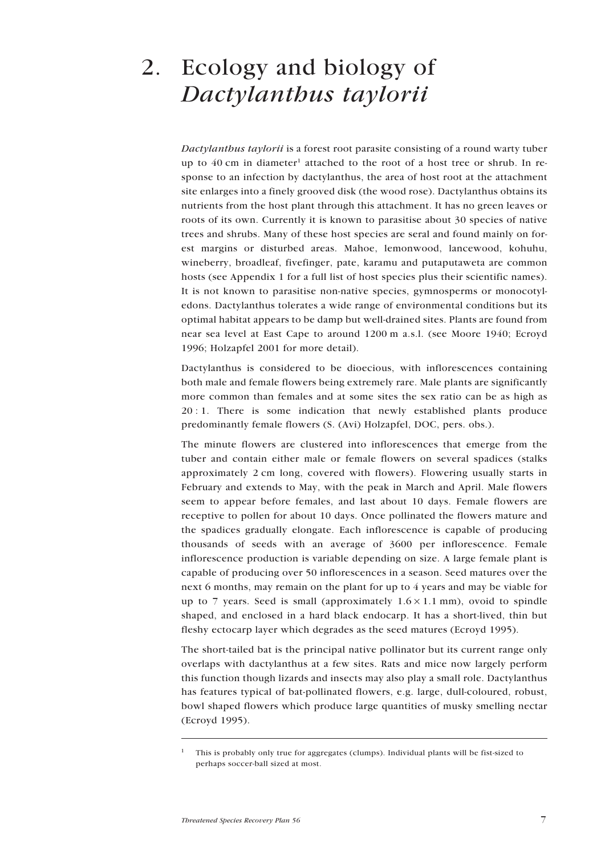# <span id="page-6-0"></span>2. Ecology and biology of *Dactylanthus taylorii*

*Dactylanthus taylorii* is a forest root parasite consisting of a round warty tuber up to 40 cm in diameter<sup>1</sup> attached to the root of a host tree or shrub. In response to an infection by dactylanthus, the area of host root at the attachment site enlarges into a finely grooved disk (the wood rose). Dactylanthus obtains its nutrients from the host plant through this attachment. It has no green leaves or roots of its own. Currently it is known to parasitise about 30 species of native trees and shrubs. Many of these host species are seral and found mainly on forest margins or disturbed areas. Mahoe, lemonwood, lancewood, kohuhu, wineberry, broadleaf, fivefinger, pate, karamu and putaputaweta are common hosts (see Appendix 1 for a full list of host species plus their scientific names). It is not known to parasitise non-native species, gymnosperms or monocotyledons. Dactylanthus tolerates a wide range of environmental conditions but its optimal habitat appears to be damp but well-drained sites. Plants are found from near sea level at East Cape to around 1200 m a.s.l. (see Moore 1940; Ecroyd 1996; Holzapfel 2001 for more detail).

Dactylanthus is considered to be dioecious, with inflorescences containing both male and female flowers being extremely rare. Male plants are significantly more common than females and at some sites the sex ratio can be as high as 20 : 1. There is some indication that newly established plants produce predominantly female flowers (S. (Avi) Holzapfel, DOC, pers. obs.).

The minute flowers are clustered into inflorescences that emerge from the tuber and contain either male or female flowers on several spadices (stalks approximately 2 cm long, covered with flowers). Flowering usually starts in February and extends to May, with the peak in March and April. Male flowers seem to appear before females, and last about 10 days. Female flowers are receptive to pollen for about 10 days. Once pollinated the flowers mature and the spadices gradually elongate. Each inflorescence is capable of producing thousands of seeds with an average of 3600 per inflorescence. Female inflorescence production is variable depending on size. A large female plant is capable of producing over 50 inflorescences in a season. Seed matures over the next 6 months, may remain on the plant for up to 4 years and may be viable for up to 7 years. Seed is small (approximately  $1.6 \times 1.1$  mm), ovoid to spindle shaped, and enclosed in a hard black endocarp. It has a short-lived, thin but fleshy ectocarp layer which degrades as the seed matures (Ecroyd 1995).

The short-tailed bat is the principal native pollinator but its current range only overlaps with dactylanthus at a few sites. Rats and mice now largely perform this function though lizards and insects may also play a small role. Dactylanthus has features typical of bat-pollinated flowers, e.g. large, dull-coloured, robust, bowl shaped flowers which produce large quantities of musky smelling nectar (Ecroyd 1995).

<sup>&</sup>lt;sup>1</sup> This is probably only true for aggregates (clumps). Individual plants will be fist-sized to perhaps soccer-ball sized at most.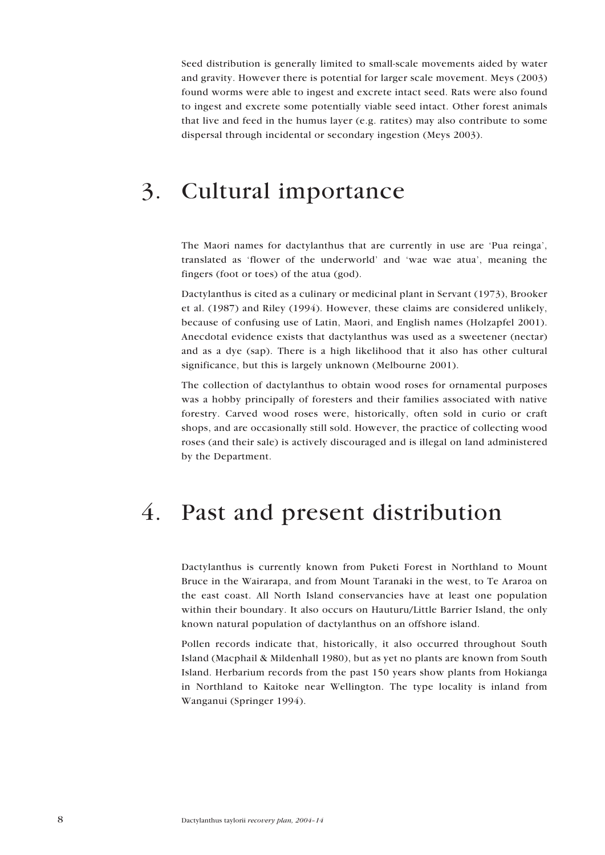<span id="page-7-0"></span>Seed distribution is generally limited to small-scale movements aided by water and gravity. However there is potential for larger scale movement. Meys (2003) found worms were able to ingest and excrete intact seed. Rats were also found to ingest and excrete some potentially viable seed intact. Other forest animals that live and feed in the humus layer (e.g. ratites) may also contribute to some dispersal through incidental or secondary ingestion (Meys 2003).

## 3. Cultural importance

The Maori names for dactylanthus that are currently in use are 'Pua reinga', translated as 'flower of the underworld' and 'wae wae atua', meaning the fingers (foot or toes) of the atua (god).

Dactylanthus is cited as a culinary or medicinal plant in Servant (1973), Brooker et al. (1987) and Riley (1994). However, these claims are considered unlikely, because of confusing use of Latin, Maori, and English names (Holzapfel 2001). Anecdotal evidence exists that dactylanthus was used as a sweetener (nectar) and as a dye (sap). There is a high likelihood that it also has other cultural significance, but this is largely unknown (Melbourne 2001).

The collection of dactylanthus to obtain wood roses for ornamental purposes was a hobby principally of foresters and their families associated with native forestry. Carved wood roses were, historically, often sold in curio or craft shops, and are occasionally still sold. However, the practice of collecting wood roses (and their sale) is actively discouraged and is illegal on land administered by the Department.

## 4. Past and present distribution

Dactylanthus is currently known from Puketi Forest in Northland to Mount Bruce in the Wairarapa, and from Mount Taranaki in the west, to Te Araroa on the east coast. All North Island conservancies have at least one population within their boundary. It also occurs on Hauturu/Little Barrier Island, the only known natural population of dactylanthus on an offshore island.

Pollen records indicate that, historically, it also occurred throughout South Island (Macphail & Mildenhall 1980), but as yet no plants are known from South Island. Herbarium records from the past 150 years show plants from Hokianga in Northland to Kaitoke near Wellington. The type locality is inland from Wanganui (Springer 1994).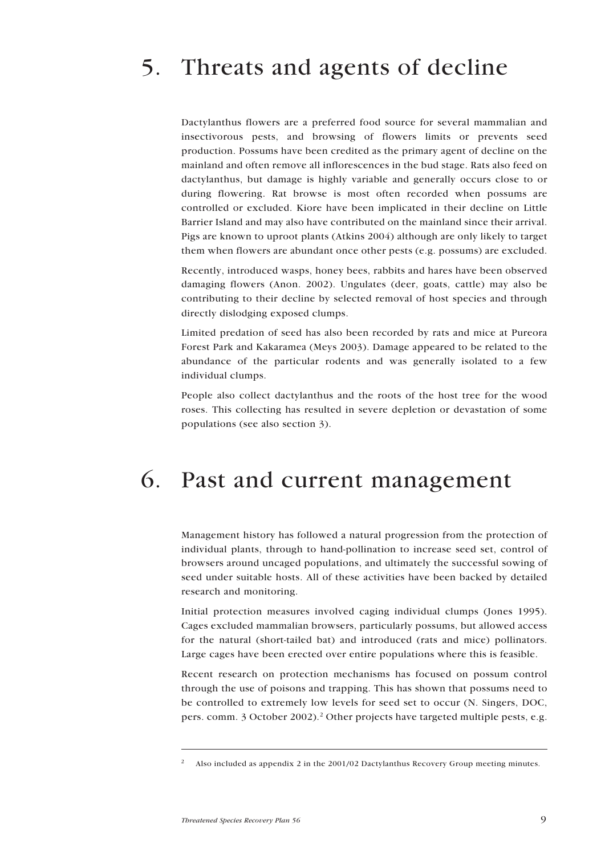# <span id="page-8-0"></span>5. Threats and agents of decline

Dactylanthus flowers are a preferred food source for several mammalian and insectivorous pests, and browsing of flowers limits or prevents seed production. Possums have been credited as the primary agent of decline on the mainland and often remove all inflorescences in the bud stage. Rats also feed on dactylanthus, but damage is highly variable and generally occurs close to or during flowering. Rat browse is most often recorded when possums are controlled or excluded. Kiore have been implicated in their decline on Little Barrier Island and may also have contributed on the mainland since their arrival. Pigs are known to uproot plants (Atkins 2004) although are only likely to target them when flowers are abundant once other pests (e.g. possums) are excluded.

Recently, introduced wasps, honey bees, rabbits and hares have been observed damaging flowers (Anon. 2002). Ungulates (deer, goats, cattle) may also be contributing to their decline by selected removal of host species and through directly dislodging exposed clumps.

Limited predation of seed has also been recorded by rats and mice at Pureora Forest Park and Kakaramea (Meys 2003). Damage appeared to be related to the abundance of the particular rodents and was generally isolated to a few individual clumps.

People also collect dactylanthus and the roots of the host tree for the wood roses. This collecting has resulted in severe depletion or devastation of some populations (see also section 3).

## 6. Past and current management

Management history has followed a natural progression from the protection of individual plants, through to hand-pollination to increase seed set, control of browsers around uncaged populations, and ultimately the successful sowing of seed under suitable hosts. All of these activities have been backed by detailed research and monitoring.

Initial protection measures involved caging individual clumps (Jones 1995). Cages excluded mammalian browsers, particularly possums, but allowed access for the natural (short-tailed bat) and introduced (rats and mice) pollinators. Large cages have been erected over entire populations where this is feasible.

Recent research on protection mechanisms has focused on possum control through the use of poisons and trapping. This has shown that possums need to be controlled to extremely low levels for seed set to occur (N. Singers, DOC, pers. comm. 3 October 2002).<sup>2</sup> Other projects have targeted multiple pests, e.g.

<sup>2</sup> Also included as appendix 2 in the 2001/02 Dactylanthus Recovery Group meeting minutes.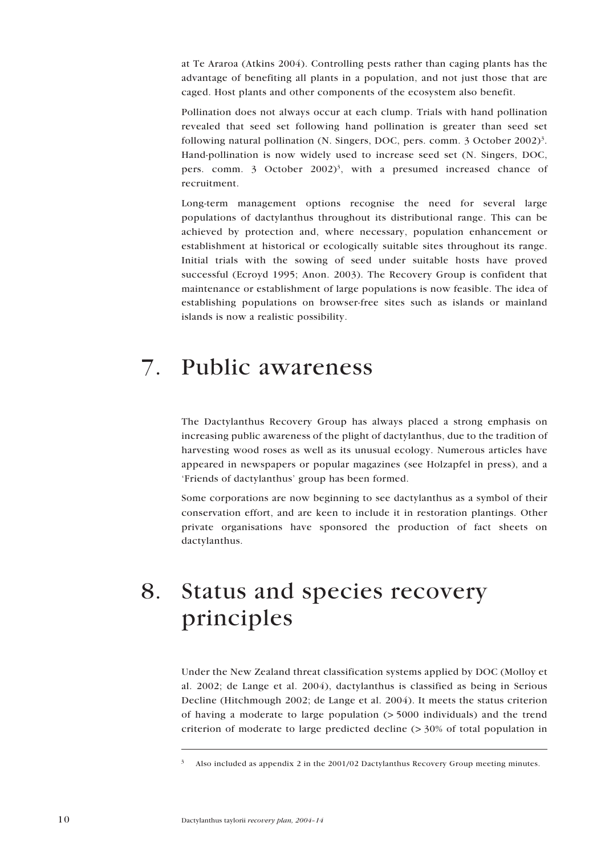<span id="page-9-0"></span>at Te Araroa (Atkins 2004). Controlling pests rather than caging plants has the advantage of benefiting all plants in a population, and not just those that are caged. Host plants and other components of the ecosystem also benefit.

Pollination does not always occur at each clump. Trials with hand pollination revealed that seed set following hand pollination is greater than seed set following natural pollination (N. Singers, DOC, pers. comm. 3 October 2002)<sup>3</sup>. Hand-pollination is now widely used to increase seed set (N. Singers, DOC, pers. comm. 3 October  $2002$ <sup>3</sup>, with a presumed increased chance of recruitment.

Long-term management options recognise the need for several large populations of dactylanthus throughout its distributional range. This can be achieved by protection and, where necessary, population enhancement or establishment at historical or ecologically suitable sites throughout its range. Initial trials with the sowing of seed under suitable hosts have proved successful (Ecroyd 1995; Anon. 2003). The Recovery Group is confident that maintenance or establishment of large populations is now feasible. The idea of establishing populations on browser-free sites such as islands or mainland islands is now a realistic possibility.

## 7. Public awareness

The Dactylanthus Recovery Group has always placed a strong emphasis on increasing public awareness of the plight of dactylanthus, due to the tradition of harvesting wood roses as well as its unusual ecology. Numerous articles have appeared in newspapers or popular magazines (see Holzapfel in press), and a 'Friends of dactylanthus' group has been formed.

Some corporations are now beginning to see dactylanthus as a symbol of their conservation effort, and are keen to include it in restoration plantings. Other private organisations have sponsored the production of fact sheets on dactylanthus.

## 8. Status and species recovery principles

Under the New Zealand threat classification systems applied by DOC (Molloy et al. 2002; de Lange et al. 2004), dactylanthus is classified as being in Serious Decline (Hitchmough 2002; de Lange et al. 2004). It meets the status criterion of having a moderate to large population (> 5000 individuals) and the trend criterion of moderate to large predicted decline (> 30% of total population in

Also included as appendix 2 in the 2001/02 Dactylanthus Recovery Group meeting minutes.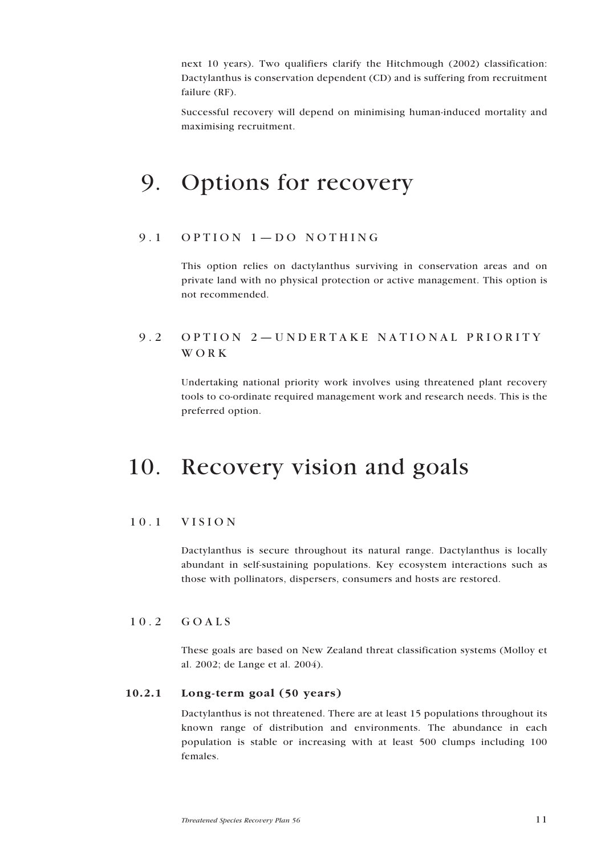<span id="page-10-0"></span>next 10 years). Two qualifiers clarify the Hitchmough (2002) classification: Dactylanthus is conservation dependent (CD) and is suffering from recruitment failure (RF).

Successful recovery will depend on minimising human-induced mortality and maximising recruitment.

## 9. Options for recovery

### 9.1 OPTION 1—DO NOTHING

This option relies on dactylanthus surviving in conservation areas and on private land with no physical protection or active management. This option is not recommended.

## 9.2 OPTION 2—UNDERTAKE NATIONAL PRIORITY WORK

Undertaking national priority work involves using threatened plant recovery tools to co-ordinate required management work and research needs. This is the preferred option.

## 10. Recovery vision and goals

### 10.1 VISION

Dactylanthus is secure throughout its natural range. Dactylanthus is locally abundant in self-sustaining populations. Key ecosystem interactions such as those with pollinators, dispersers, consumers and hosts are restored.

### 10.2 GOALS

These goals are based on New Zealand threat classification systems (Molloy et al. 2002; de Lange et al. 2004).

### 10.2.1 Long-term goal (50 years)

Dactylanthus is not threatened. There are at least 15 populations throughout its known range of distribution and environments. The abundance in each population is stable or increasing with at least 500 clumps including 100 females.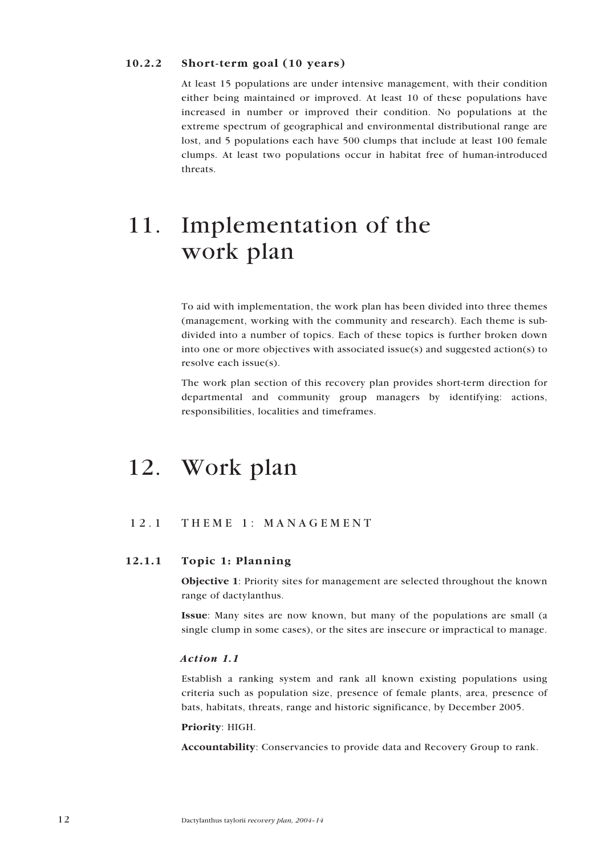#### <span id="page-11-0"></span>10.2.2 Short-term goal (10 years)

At least 15 populations are under intensive management, with their condition either being maintained or improved. At least 10 of these populations have increased in number or improved their condition. No populations at the extreme spectrum of geographical and environmental distributional range are lost, and 5 populations each have 500 clumps that include at least 100 female clumps. At least two populations occur in habitat free of human-introduced threats.

## 11. Implementation of the work plan

To aid with implementation, the work plan has been divided into three themes (management, working with the community and research). Each theme is subdivided into a number of topics. Each of these topics is further broken down into one or more objectives with associated issue(s) and suggested action(s) to resolve each issue(s).

The work plan section of this recovery plan provides short-term direction for departmental and community group managers by identifying: actions, responsibilities, localities and timeframes.

## 12. Work plan

### 12.1 THEME 1: MANAGEMENT

### 12.1.1 Topic 1: Planning

Objective 1: Priority sites for management are selected throughout the known range of dactylanthus.

Issue: Many sites are now known, but many of the populations are small (a single clump in some cases), or the sites are insecure or impractical to manage.

#### *Action 1.1*

Establish a ranking system and rank all known existing populations using criteria such as population size, presence of female plants, area, presence of bats, habitats, threats, range and historic significance, by December 2005.

#### Priority: HIGH.

Accountability: Conservancies to provide data and Recovery Group to rank.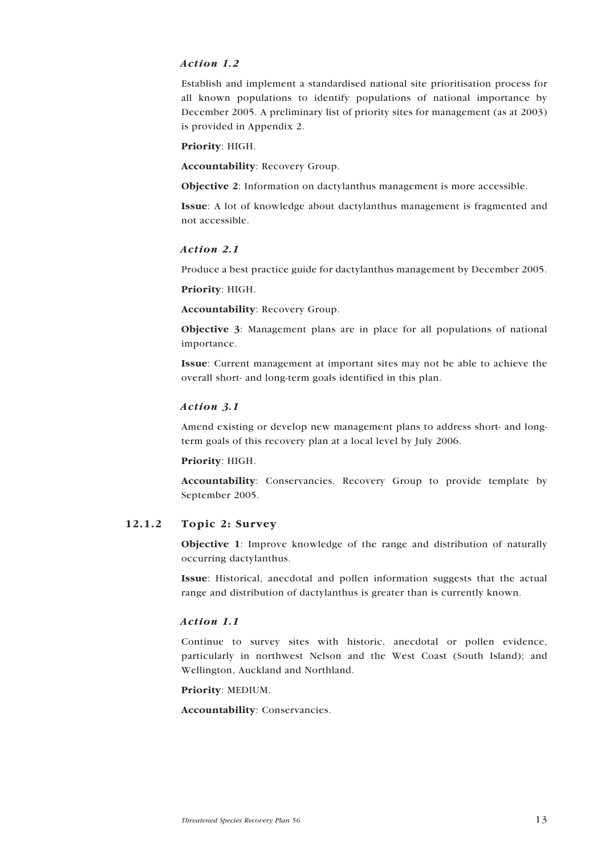### <span id="page-12-0"></span>*Action 1.2*

Establish and implement a standardised national site prioritisation process for all known populations to identify populations of national importance by December 2005. A preliminary list of priority sites for management (as at 2003) is provided in Appendix 2.

Priority: HIGH.

Accountability: Recovery Group.

Objective 2: Information on dactylanthus management is more accessible.

Issue: A lot of knowledge about dactylanthus management is fragmented and not accessible.

#### *Action 2.1*

Produce a best practice guide for dactylanthus management by December 2005.

Priority: HIGH.

Accountability: Recovery Group.

Objective 3: Management plans are in place for all populations of national importance.

Issue: Current management at important sites may not be able to achieve the overall short- and long-term goals identified in this plan.

#### *Action 3.1*

Amend existing or develop new management plans to address short- and longterm goals of this recovery plan at a local level by July 2006.

#### Priority: HIGH.

Accountability: Conservancies. Recovery Group to provide template by September 2005.

#### 12.1.2 Topic 2: Survey

Objective 1: Improve knowledge of the range and distribution of naturally occurring dactylanthus.

Issue: Historical, anecdotal and pollen information suggests that the actual range and distribution of dactylanthus is greater than is currently known.

#### *Action 1.1*

Continue to survey sites with historic, anecdotal or pollen evidence, particularly in northwest Nelson and the West Coast (South Island); and Wellington, Auckland and Northland.

Priority: MEDIUM.

Accountability: Conservancies.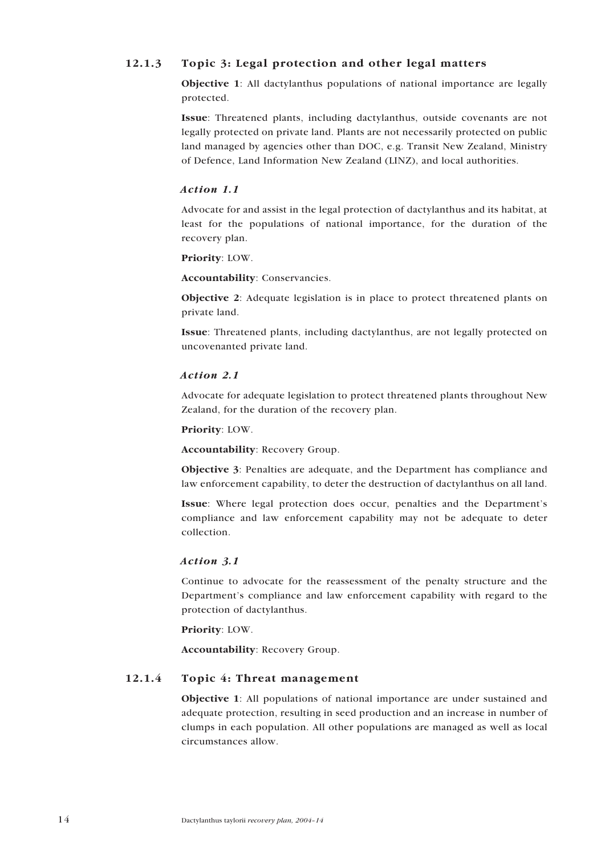## <span id="page-13-0"></span>12.1.3 Topic 3: Legal protection and other legal matters

Objective 1: All dactylanthus populations of national importance are legally protected.

Issue: Threatened plants, including dactylanthus, outside covenants are not legally protected on private land. Plants are not necessarily protected on public land managed by agencies other than DOC, e.g. Transit New Zealand, Ministry of Defence, Land Information New Zealand (LINZ), and local authorities.

#### *Action 1.1*

Advocate for and assist in the legal protection of dactylanthus and its habitat, at least for the populations of national importance, for the duration of the recovery plan.

Priority: LOW.

Accountability: Conservancies.

Objective 2: Adequate legislation is in place to protect threatened plants on private land.

Issue: Threatened plants, including dactylanthus, are not legally protected on uncovenanted private land.

#### *Action 2.1*

Advocate for adequate legislation to protect threatened plants throughout New Zealand, for the duration of the recovery plan.

Priority: LOW.

Accountability: Recovery Group.

Objective 3: Penalties are adequate, and the Department has compliance and law enforcement capability, to deter the destruction of dactylanthus on all land.

Issue: Where legal protection does occur, penalties and the Department's compliance and law enforcement capability may not be adequate to deter collection.

#### *Action 3.1*

Continue to advocate for the reassessment of the penalty structure and the Department's compliance and law enforcement capability with regard to the protection of dactylanthus.

Priority: LOW.

Accountability: Recovery Group.

### 12.1.4 Topic 4: Threat management

Objective 1: All populations of national importance are under sustained and adequate protection, resulting in seed production and an increase in number of clumps in each population. All other populations are managed as well as local circumstances allow.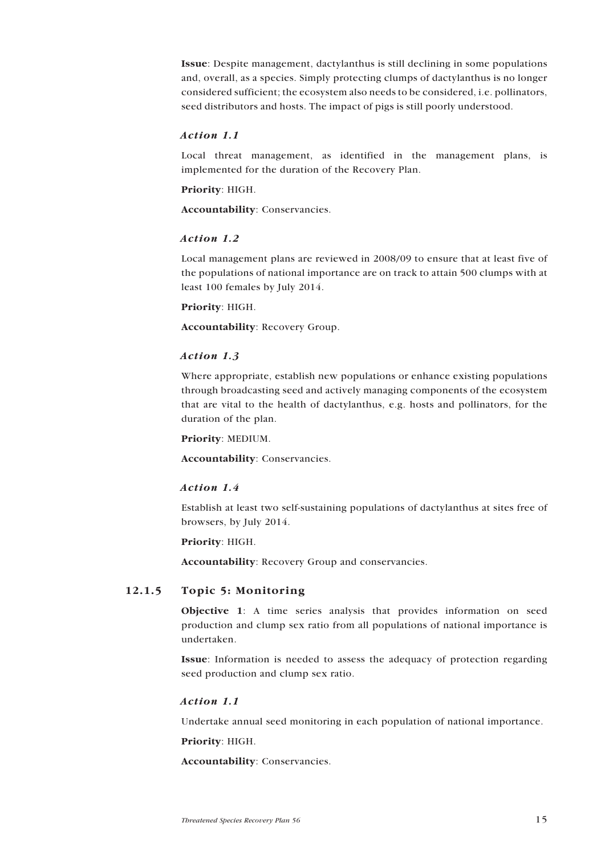<span id="page-14-0"></span>Issue: Despite management, dactylanthus is still declining in some populations and, overall, as a species. Simply protecting clumps of dactylanthus is no longer considered sufficient; the ecosystem also needs to be considered, i.e. pollinators, seed distributors and hosts. The impact of pigs is still poorly understood.

#### *Action 1.1*

Local threat management, as identified in the management plans, is implemented for the duration of the Recovery Plan.

#### Priority: HIGH.

Accountability: Conservancies.

#### *Action 1.2*

Local management plans are reviewed in 2008/09 to ensure that at least five of the populations of national importance are on track to attain 500 clumps with at least 100 females by July 2014.

#### Priority: HIGH.

Accountability: Recovery Group.

#### *Action 1.3*

Where appropriate, establish new populations or enhance existing populations through broadcasting seed and actively managing components of the ecosystem that are vital to the health of dactylanthus, e.g. hosts and pollinators, for the duration of the plan.

#### Priority: MEDIUM.

Accountability: Conservancies.

#### *Action 1.4*

Establish at least two self-sustaining populations of dactylanthus at sites free of browsers, by July 2014.

#### Priority: HIGH.

Accountability: Recovery Group and conservancies.

#### 12.1.5 Topic 5: Monitoring

Objective 1: A time series analysis that provides information on seed production and clump sex ratio from all populations of national importance is undertaken.

Issue: Information is needed to assess the adequacy of protection regarding seed production and clump sex ratio.

#### *Action 1.1*

Undertake annual seed monitoring in each population of national importance.

Priority: HIGH.

Accountability: Conservancies.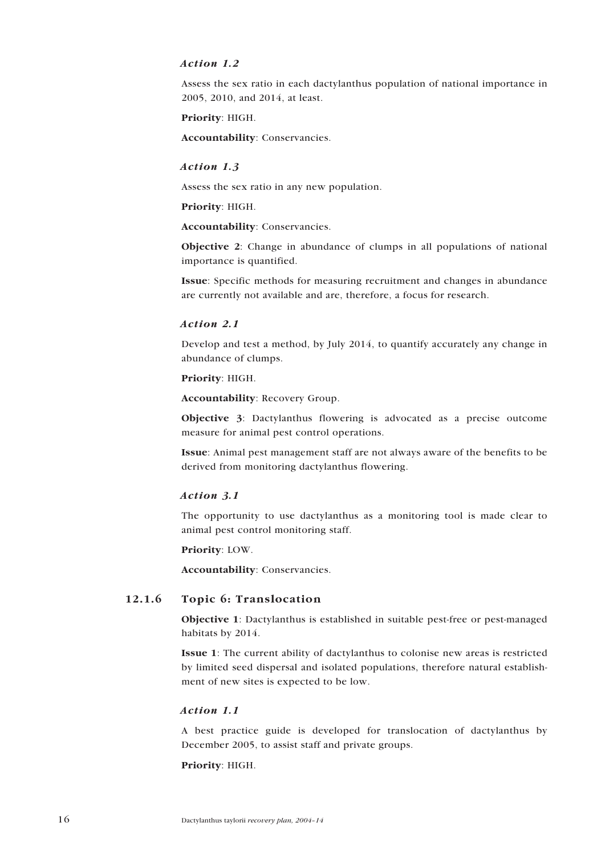#### <span id="page-15-0"></span>*Action 1.2*

Assess the sex ratio in each dactylanthus population of national importance in 2005, 2010, and 2014, at least.

Priority: HIGH.

Accountability: Conservancies.

#### *Action 1.3*

Assess the sex ratio in any new population.

Priority: HIGH.

Accountability: Conservancies.

Objective 2: Change in abundance of clumps in all populations of national importance is quantified.

Issue: Specific methods for measuring recruitment and changes in abundance are currently not available and are, therefore, a focus for research.

#### *Action 2.1*

Develop and test a method, by July 2014, to quantify accurately any change in abundance of clumps.

#### Priority: HIGH.

Accountability: Recovery Group.

Objective 3: Dactylanthus flowering is advocated as a precise outcome measure for animal pest control operations.

Issue: Animal pest management staff are not always aware of the benefits to be derived from monitoring dactylanthus flowering.

#### *Action 3.1*

The opportunity to use dactylanthus as a monitoring tool is made clear to animal pest control monitoring staff.

Priority: LOW.

Accountability: Conservancies.

### 12.1.6 Topic 6: Translocation

Objective 1: Dactylanthus is established in suitable pest-free or pest-managed habitats by 2014.

Issue 1: The current ability of dactylanthus to colonise new areas is restricted by limited seed dispersal and isolated populations, therefore natural establishment of new sites is expected to be low.

#### *Action 1.1*

A best practice guide is developed for translocation of dactylanthus by December 2005, to assist staff and private groups.

#### Priority: HIGH.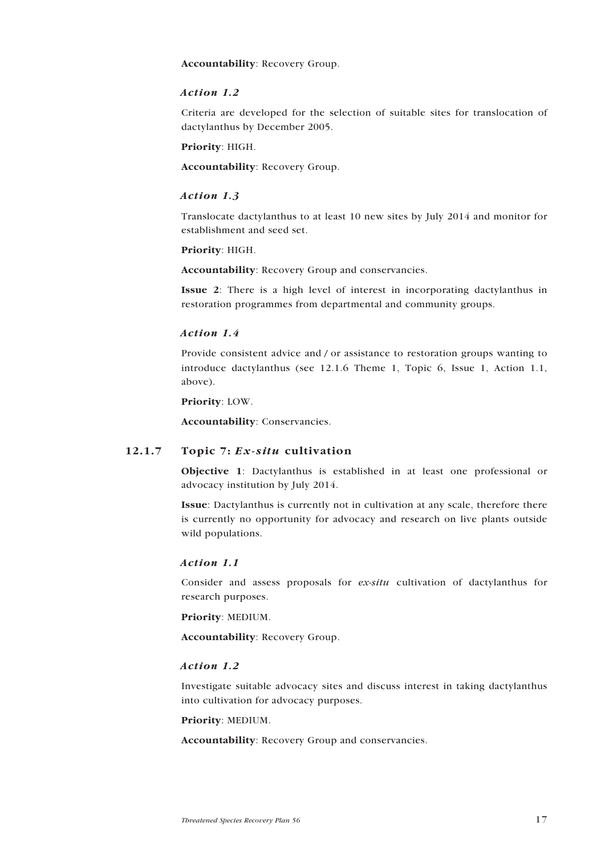<span id="page-16-0"></span>Accountability: Recovery Group.

#### *Action 1.2*

Criteria are developed for the selection of suitable sites for translocation of dactylanthus by December 2005.

Priority: HIGH.

Accountability: Recovery Group.

#### *Action 1.3*

Translocate dactylanthus to at least 10 new sites by July 2014 and monitor for establishment and seed set.

#### Priority: HIGH.

Accountability: Recovery Group and conservancies.

Issue 2: There is a high level of interest in incorporating dactylanthus in restoration programmes from departmental and community groups.

#### *Action 1.4*

Provide consistent advice and / or assistance to restoration groups wanting to introduce dactylanthus (see 12.1.6 Theme 1, Topic 6, Issue 1, Action 1.1, above).

Priority: LOW.

Accountability: Conservancies.

#### 12.1.7 Topic 7: *Ex-situ* cultivation

Objective 1: Dactylanthus is established in at least one professional or advocacy institution by July 2014.

Issue: Dactylanthus is currently not in cultivation at any scale, therefore there is currently no opportunity for advocacy and research on live plants outside wild populations.

#### *Action 1.1*

Consider and assess proposals for *ex-situ* cultivation of dactylanthus for research purposes.

Priority: MEDIUM.

Accountability: Recovery Group.

#### *Action 1.2*

Investigate suitable advocacy sites and discuss interest in taking dactylanthus into cultivation for advocacy purposes.

#### Priority: MEDIUM.

Accountability: Recovery Group and conservancies.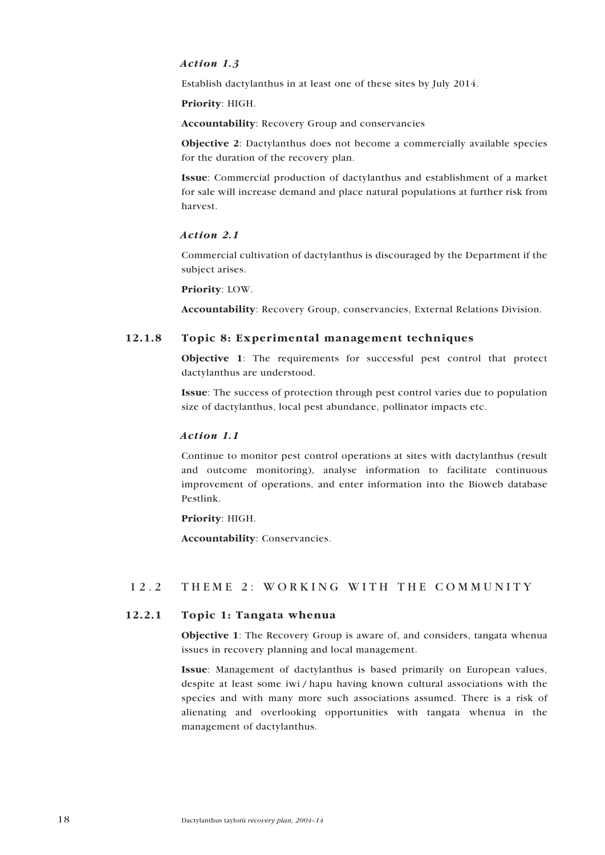#### <span id="page-17-0"></span>*Action 1.3*

Establish dactylanthus in at least one of these sites by July 2014.

Priority: HIGH.

Accountability: Recovery Group and conservancies

Objective 2: Dactylanthus does not become a commercially available species for the duration of the recovery plan.

Issue: Commercial production of dactylanthus and establishment of a market for sale will increase demand and place natural populations at further risk from harvest.

#### *Action 2.1*

Commercial cultivation of dactylanthus is discouraged by the Department if the subject arises.

Priority: LOW.

Accountability: Recovery Group, conservancies, External Relations Division.

#### 12.1.8 Topic 8: Experimental management techniques

Objective 1: The requirements for successful pest control that protect dactylanthus are understood.

Issue: The success of protection through pest control varies due to population size of dactylanthus, local pest abundance, pollinator impacts etc.

#### *Action 1.1*

Continue to monitor pest control operations at sites with dactylanthus (result and outcome monitoring), analyse information to facilitate continuous improvement of operations, and enter information into the Bioweb database Pestlink.

#### Priority: HIGH.

Accountability: Conservancies.

### 12.2 THEME 2: WORKING WITH THE COMMUNITY

#### 12.2.1 Topic 1: Tangata whenua

Objective 1: The Recovery Group is aware of, and considers, tangata whenua issues in recovery planning and local management.

Issue: Management of dactylanthus is based primarily on European values, despite at least some iwi / hapu having known cultural associations with the species and with many more such associations assumed. There is a risk of alienating and overlooking opportunities with tangata whenua in the management of dactylanthus.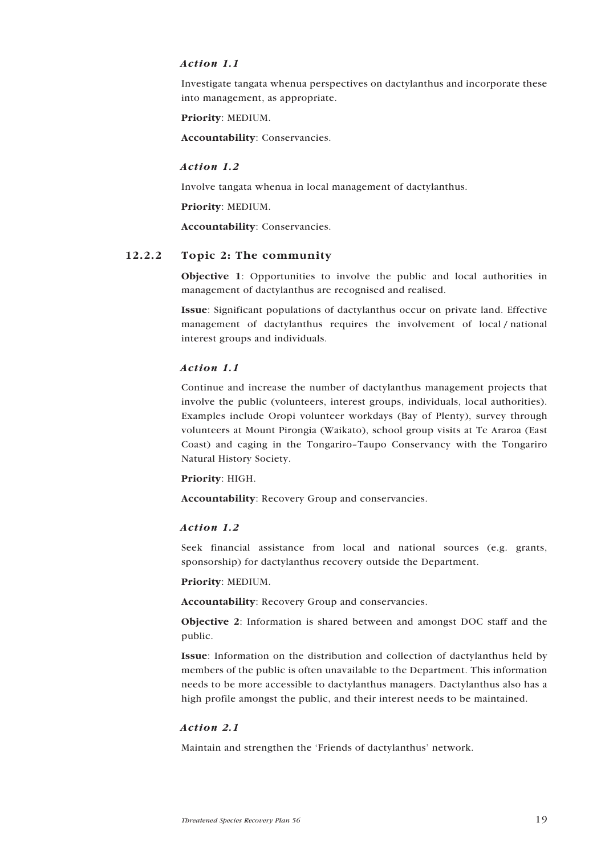### <span id="page-18-0"></span>*Action 1.1*

Investigate tangata whenua perspectives on dactylanthus and incorporate these into management, as appropriate.

Priority: MEDIUM.

Accountability: Conservancies.

#### *Action 1.2*

Involve tangata whenua in local management of dactylanthus.

Priority: MEDIUM.

Accountability: Conservancies.

#### 12.2.2 Topic 2: The community

Objective 1: Opportunities to involve the public and local authorities in management of dactylanthus are recognised and realised.

Issue: Significant populations of dactylanthus occur on private land. Effective management of dactylanthus requires the involvement of local / national interest groups and individuals.

#### *Action 1.1*

Continue and increase the number of dactylanthus management projects that involve the public (volunteers, interest groups, individuals, local authorities). Examples include Oropi volunteer workdays (Bay of Plenty), survey through volunteers at Mount Pirongia (Waikato), school group visits at Te Araroa (East Coast) and caging in the Tongariro–Taupo Conservancy with the Tongariro Natural History Society.

#### Priority: HIGH.

Accountability: Recovery Group and conservancies.

#### *Action 1.2*

Seek financial assistance from local and national sources (e.g. grants, sponsorship) for dactylanthus recovery outside the Department.

#### Priority: MEDIUM.

Accountability: Recovery Group and conservancies.

Objective 2: Information is shared between and amongst DOC staff and the public.

Issue: Information on the distribution and collection of dactylanthus held by members of the public is often unavailable to the Department. This information needs to be more accessible to dactylanthus managers. Dactylanthus also has a high profile amongst the public, and their interest needs to be maintained.

#### *Action 2.1*

Maintain and strengthen the 'Friends of dactylanthus' network.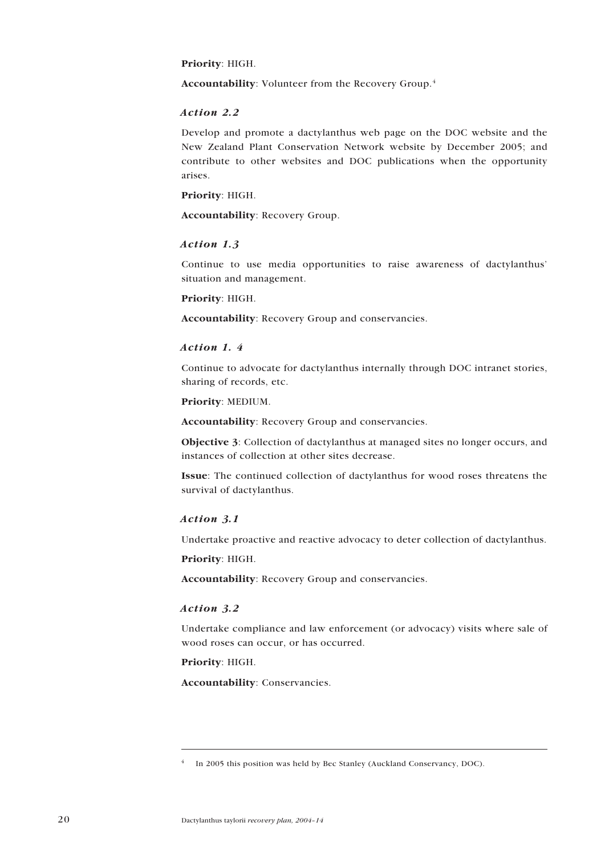#### Priority: HIGH.

Accountability: Volunteer from the Recovery Group.4

#### *Action 2.2*

Develop and promote a dactylanthus web page on the DOC website and the New Zealand Plant Conservation Network website by December 2005; and contribute to other websites and DOC publications when the opportunity arises.

#### Priority: HIGH.

Accountability: Recovery Group.

#### *Action 1.3*

Continue to use media opportunities to raise awareness of dactylanthus' situation and management.

#### Priority: HIGH.

Accountability: Recovery Group and conservancies.

#### *Action 1. 4*

Continue to advocate for dactylanthus internally through DOC intranet stories, sharing of records, etc.

#### Priority: MEDIUM.

Accountability: Recovery Group and conservancies.

Objective 3: Collection of dactylanthus at managed sites no longer occurs, and instances of collection at other sites decrease.

Issue: The continued collection of dactylanthus for wood roses threatens the survival of dactylanthus.

#### *Action 3.1*

Undertake proactive and reactive advocacy to deter collection of dactylanthus.

Priority: HIGH.

Accountability: Recovery Group and conservancies.

#### *Action 3.2*

Undertake compliance and law enforcement (or advocacy) visits where sale of wood roses can occur, or has occurred.

### Priority: HIGH.

Accountability: Conservancies.

In 2005 this position was held by Bec Stanley (Auckland Conservancy, DOC).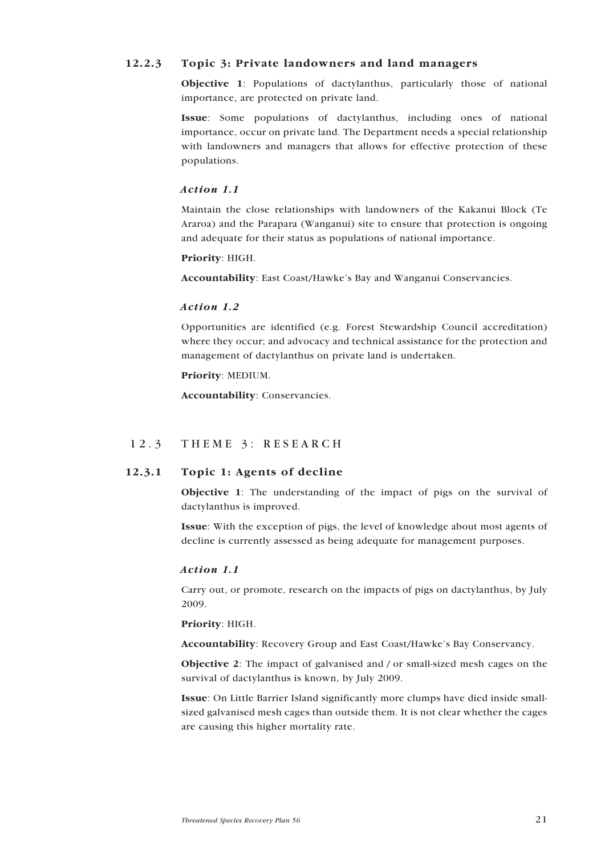### <span id="page-20-0"></span>12.2.3 Topic 3: Private landowners and land managers

Objective 1: Populations of dactylanthus, particularly those of national importance, are protected on private land.

Issue: Some populations of dactylanthus, including ones of national importance, occur on private land. The Department needs a special relationship with landowners and managers that allows for effective protection of these populations.

#### *Action 1.1*

Maintain the close relationships with landowners of the Kakanui Block (Te Araroa) and the Parapara (Wanganui) site to ensure that protection is ongoing and adequate for their status as populations of national importance.

#### Priority: HIGH.

Accountability: East Coast/Hawke's Bay and Wanganui Conservancies.

#### *Action 1.2*

Opportunities are identified (e.g. Forest Stewardship Council accreditation) where they occur; and advocacy and technical assistance for the protection and management of dactylanthus on private land is undertaken.

#### Priority: MEDIUM.

Accountability: Conservancies.

### 12.3 THEME 3: RESEARCH

### 12.3.1 Topic 1: Agents of decline

Objective 1: The understanding of the impact of pigs on the survival of dactylanthus is improved.

Issue: With the exception of pigs, the level of knowledge about most agents of decline is currently assessed as being adequate for management purposes.

#### *Action 1.1*

Carry out, or promote, research on the impacts of pigs on dactylanthus, by July 2009.

#### Priority: HIGH.

Accountability: Recovery Group and East Coast/Hawke's Bay Conservancy.

Objective 2: The impact of galvanised and / or small-sized mesh cages on the survival of dactylanthus is known, by July 2009.

Issue: On Little Barrier Island significantly more clumps have died inside smallsized galvanised mesh cages than outside them. It is not clear whether the cages are causing this higher mortality rate.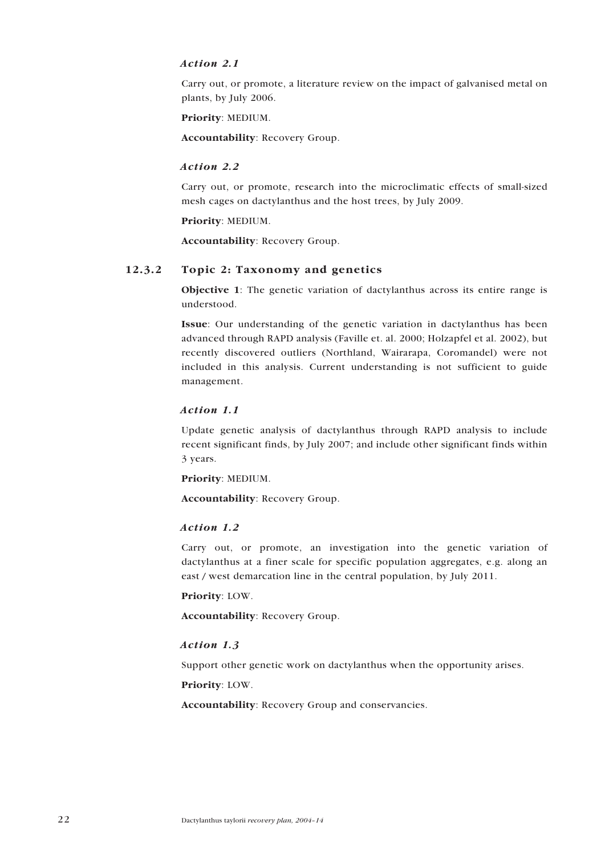#### <span id="page-21-0"></span>*Action 2.1*

Carry out, or promote, a literature review on the impact of galvanised metal on plants, by July 2006.

Priority: MEDIUM.

Accountability: Recovery Group.

#### *Action 2.2*

Carry out, or promote, research into the microclimatic effects of small-sized mesh cages on dactylanthus and the host trees, by July 2009.

Priority: MEDIUM.

Accountability: Recovery Group.

#### 12.3.2 Topic 2: Taxonomy and genetics

Objective 1: The genetic variation of dactylanthus across its entire range is understood.

Issue: Our understanding of the genetic variation in dactylanthus has been advanced through RAPD analysis (Faville et. al. 2000; Holzapfel et al. 2002), but recently discovered outliers (Northland, Wairarapa, Coromandel) were not included in this analysis. Current understanding is not sufficient to guide management.

#### *Action 1.1*

Update genetic analysis of dactylanthus through RAPD analysis to include recent significant finds, by July 2007; and include other significant finds within 3 years.

Priority: MEDIUM.

Accountability: Recovery Group.

#### *Action 1.2*

Carry out, or promote, an investigation into the genetic variation of dactylanthus at a finer scale for specific population aggregates, e.g. along an east / west demarcation line in the central population, by July 2011.

Priority: LOW.

Accountability: Recovery Group.

#### *Action 1.3*

Support other genetic work on dactylanthus when the opportunity arises.

Priority: LOW.

Accountability: Recovery Group and conservancies.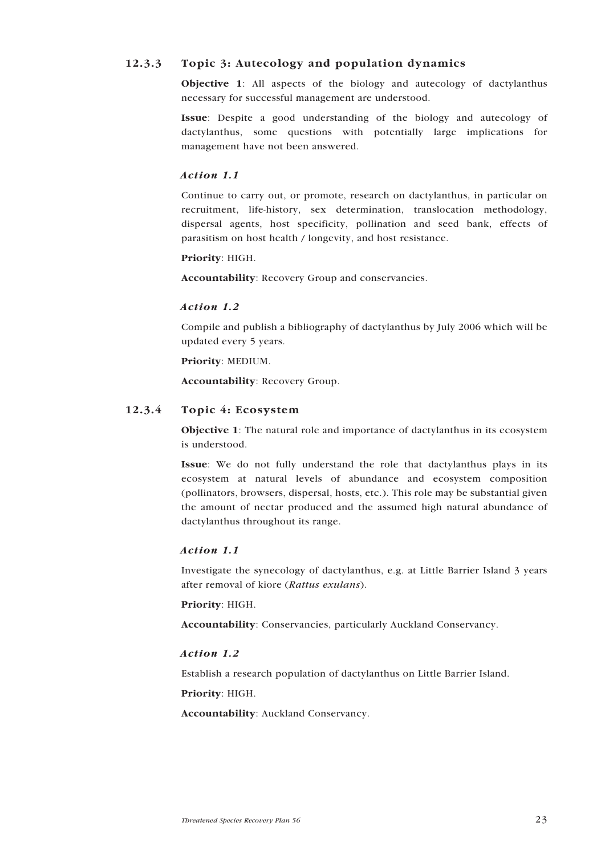## <span id="page-22-0"></span>12.3.3 Topic 3: Autecology and population dynamics

Objective 1: All aspects of the biology and autecology of dactylanthus necessary for successful management are understood.

Issue: Despite a good understanding of the biology and autecology of dactylanthus, some questions with potentially large implications for management have not been answered.

#### *Action 1.1*

Continue to carry out, or promote, research on dactylanthus, in particular on recruitment, life-history, sex determination, translocation methodology, dispersal agents, host specificity, pollination and seed bank, effects of parasitism on host health / longevity, and host resistance.

#### Priority: HIGH.

Accountability: Recovery Group and conservancies.

#### *Action 1.2*

Compile and publish a bibliography of dactylanthus by July 2006 which will be updated every 5 years.

Priority: MEDIUM.

Accountability: Recovery Group.

#### 12.3.4 Topic 4: Ecosystem

Objective 1: The natural role and importance of dactylanthus in its ecosystem is understood.

Issue: We do not fully understand the role that dactylanthus plays in its ecosystem at natural levels of abundance and ecosystem composition (pollinators, browsers, dispersal, hosts, etc.). This role may be substantial given the amount of nectar produced and the assumed high natural abundance of dactylanthus throughout its range.

#### *Action 1.1*

Investigate the synecology of dactylanthus, e.g. at Little Barrier Island 3 years after removal of kiore (*Rattus exulans*).

Priority: HIGH.

Accountability: Conservancies, particularly Auckland Conservancy.

#### *Action 1.2*

Establish a research population of dactylanthus on Little Barrier Island.

Priority: HIGH.

Accountability: Auckland Conservancy.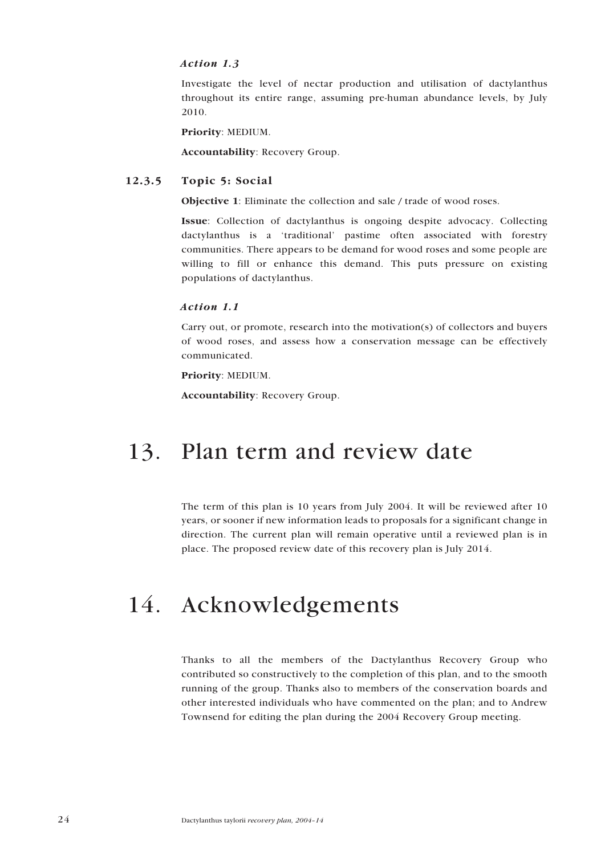#### <span id="page-23-0"></span>*Action 1.3*

Investigate the level of nectar production and utilisation of dactylanthus throughout its entire range, assuming pre-human abundance levels, by July 2010.

Priority: MEDIUM.

Accountability: Recovery Group.

### 12.3.5 Topic 5: Social

Objective 1: Eliminate the collection and sale / trade of wood roses.

Issue: Collection of dactylanthus is ongoing despite advocacy. Collecting dactylanthus is a 'traditional' pastime often associated with forestry communities. There appears to be demand for wood roses and some people are willing to fill or enhance this demand. This puts pressure on existing populations of dactylanthus.

#### *Action 1.1*

Carry out, or promote, research into the motivation(s) of collectors and buyers of wood roses, and assess how a conservation message can be effectively communicated.

### Priority: MEDIUM.

Accountability: Recovery Group.

## 13. Plan term and review date

The term of this plan is 10 years from July 2004. It will be reviewed after 10 years, or sooner if new information leads to proposals for a significant change in direction. The current plan will remain operative until a reviewed plan is in place. The proposed review date of this recovery plan is July 2014.

## 14. Acknowledgements

Thanks to all the members of the Dactylanthus Recovery Group who contributed so constructively to the completion of this plan, and to the smooth running of the group. Thanks also to members of the conservation boards and other interested individuals who have commented on the plan; and to Andrew Townsend for editing the plan during the 2004 Recovery Group meeting.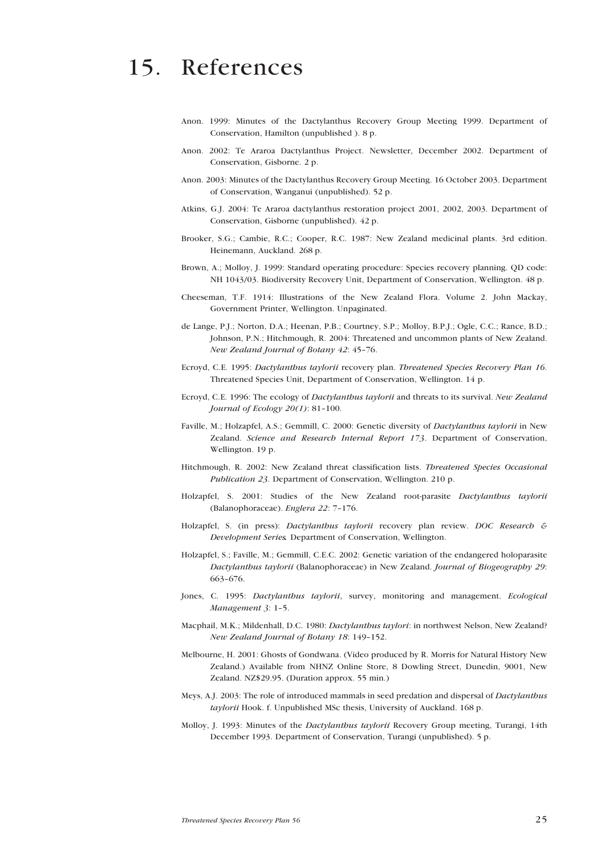## <span id="page-24-0"></span>15. References

- Anon. 1999: Minutes of the Dactylanthus Recovery Group Meeting 1999. Department of Conservation, Hamilton (unpublished ). 8 p.
- Anon. 2002: Te Araroa Dactylanthus Project. Newsletter, December 2002. Department of Conservation, Gisborne. 2 p.
- Anon. 2003: Minutes of the Dactylanthus Recovery Group Meeting. 16 October 2003. Department of Conservation, Wanganui (unpublished). 52 p.
- Atkins, G.J. 2004: Te Araroa dactylanthus restoration project 2001, 2002, 2003. Department of Conservation, Gisborne (unpublished). 42 p.
- Brooker, S.G.; Cambie, R.C.; Cooper, R.C. 1987: New Zealand medicinal plants. 3rd edition. Heinemann, Auckland. 268 p.
- Brown, A.; Molloy, J. 1999: Standard operating procedure: Species recovery planning. QD code: NH 1043/03. Biodiversity Recovery Unit, Department of Conservation, Wellington. 48 p.
- Cheeseman, T.F. 1914: Illustrations of the New Zealand Flora. Volume 2. John Mackay, Government Printer, Wellington. Unpaginated.
- de Lange, P.J.; Norton, D.A.; Heenan, P.B.; Courtney, S.P.; Molloy, B.P.J.; Ogle, C.C.; Rance, B.D.; Johnson, P.N.; Hitchmough, R. 2004: Threatened and uncommon plants of New Zealand. *New Zealand Journal of Botany 42*: 45–76.
- Ecroyd, C.E. 1995: *Dactylanthus taylorii* recovery plan. *Threatened Species Recovery Plan 16*. Threatened Species Unit, Department of Conservation, Wellington. 14 p.
- Ecroyd, C.E. 1996: The ecology of *Dactylanthus taylorii* and threats to its survival. *New Zealand Journal of Ecology 20(1)*: 81–100.
- Faville, M.; Holzapfel, A.S.; Gemmill, C. 2000: Genetic diversity of *Dactylanthus taylorii* in New Zealand. *Science and Research Internal Report 173*. Department of Conservation, Wellington. 19 p.
- Hitchmough, R. 2002: New Zealand threat classification lists. *Threatened Species Occasional Publication 23*. Department of Conservation, Wellington. 210 p.
- Holzapfel, S. 2001: Studies of the New Zealand root-parasite *Dactylanthus taylorii* (Balanophoraceae). *Englera 22*: 7–176.
- Holzapfel, S. (in press): *Dactylanthus taylorii* recovery plan review. *DOC Research & Development Series.* Department of Conservation, Wellington.
- Holzapfel, S.; Faville, M.; Gemmill, C.E.C. 2002: Genetic variation of the endangered holoparasite *Dactylanthus taylorii* (Balanophoraceae) in New Zealand. *Journal of Biogeography 29*: 663–676.
- Jones, C. 1995: *Dactylanthus taylorii*, survey, monitoring and management. *Ecological Management 3*: 1–5.
- Macphail, M.K.; Mildenhall, D.C. 1980: *Dactylanthus taylori*: in northwest Nelson, New Zealand? *New Zealand Journal of Botany 18*: 149–152.
- Melbourne, H. 2001: Ghosts of Gondwana. (Video produced by R. Morris for Natural History New Zealand.) Available from NHNZ Online Store, 8 Dowling Street, Dunedin, 9001, New Zealand. NZ\$29.95. (Duration approx. 55 min.)
- Meys, A.J. 2003: The role of introduced mammals in seed predation and dispersal of *Dactylanthus taylorii* Hook. f. Unpublished MSc thesis, University of Auckland. 168 p.
- Molloy, J. 1993: Minutes of the *Dactylanthus taylorii* Recovery Group meeting, Turangi, 14th December 1993. Department of Conservation, Turangi (unpublished). 5 p.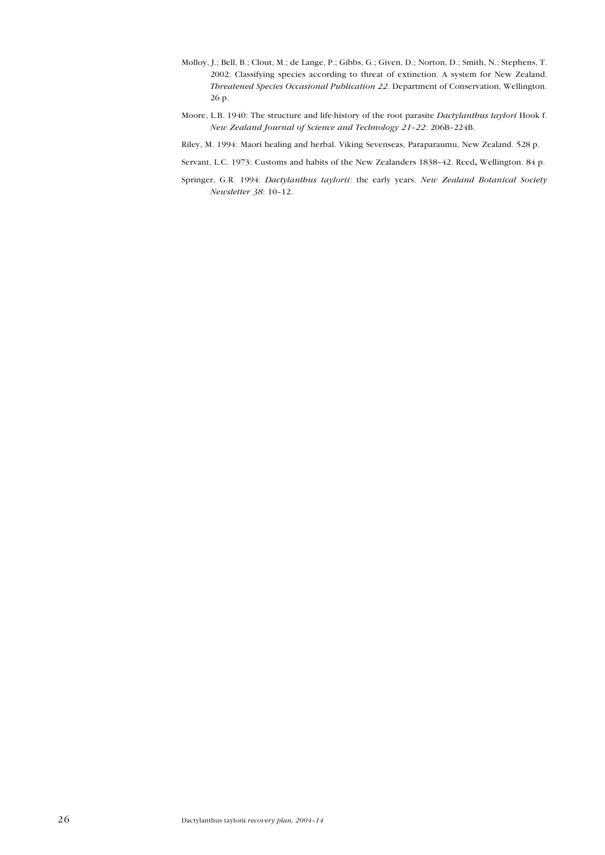- Molloy, J.; Bell, B.; Clout, M.; de Lange, P.; Gibbs, G.; Given, D.; Norton, D.; Smith, N.; Stephens, T. 2002: Classifying species according to threat of extinction. A system for New Zealand. *Threatened Species Occasional Publication 22*. Department of Conservation, Wellington. 26 p.
- Moore, L.B. 1940: The structure and life-history of the root parasite *Dactylanthus taylori* Hook f. *New Zealand Journal of Science and Technology 21–22*: 206B–224B.
- Riley, M. 1994: Maori healing and herbal. Viking Sevenseas, Paraparaumu, New Zealand. 528 p.

Servant, L.C. 1973: Customs and habits of the New Zealanders 1838–42. Reed, Wellington. 84 p.

Springer, G.R. 1994: *Dactylanthus taylorii*: the early years. *New Zealand Botanical Society Newsletter 38*: 10–12.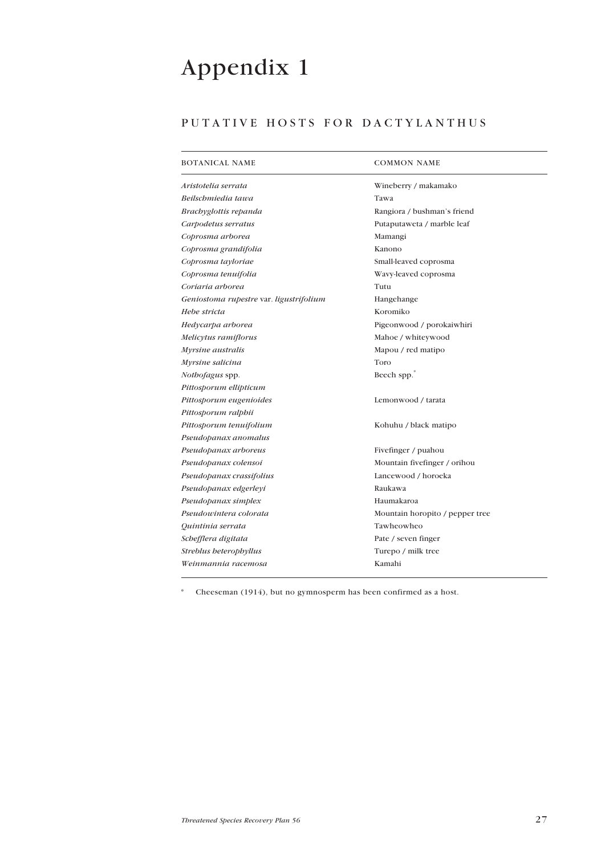# <span id="page-26-0"></span>Appendix 1

## PUTATIVE HOSTS FOR DACTYLANTHUS

| <b>BOTANICAL NAME</b>                   | <b>COMMON NAME</b>              |
|-----------------------------------------|---------------------------------|
| Aristotelia serrata                     | Wineberry / makamako            |
| Beilschmiedia tawa                      | Tawa                            |
| Brachyglottis repanda                   | Rangiora / bushman's friend     |
| Carpodetus serratus                     | Putaputaweta / marble leaf      |
| Coprosma arborea                        | Mamangi                         |
| Coprosma grandifolia                    | Kanono                          |
| Coprosma tayloriae                      | Small-leaved coprosma           |
| Coprosma tenuifolia                     | Wavy-leaved coprosma            |
| Coriaria arborea                        | Tutu                            |
| Geniostoma rupestre var. ligustrifolium | Hangehange                      |
| Hebe stricta                            | Koromiko                        |
| Hedycarpa arborea                       | Pigeonwood / porokaiwhiri       |
| Melicytus ramiflorus                    | Mahoe / whiteywood              |
| Myrsine australis                       | Mapou / red matipo              |
| Myrsine salicina                        | Toro                            |
| Nothofagus spp.                         | Beech spp.                      |
| Pittosporum ellipticum                  |                                 |
| Pittosporum eugenioides                 | Lemonwood / tarata              |
| Pittosporum ralphii                     |                                 |
| Pittosporum tenuifolium                 | Kohuhu / black matipo           |
| Pseudopanax anomalus                    |                                 |
| Pseudopanax arboreus                    | Fivefinger / puahou             |
| Pseudopanax colensoi                    | Mountain fivefinger / orihou    |
| Pseudopanax crassifolius                | Lancewood / horoeka             |
| Pseudopanax edgerleyi                   | Raukawa                         |
| Pseudopanax simplex                     | Haumakaroa                      |
| Pseudowintera colorata                  | Mountain horopito / pepper tree |
| Quintinia serrata                       | Tawheowheo                      |
| Schefflera digitata                     | Pate / seven finger             |
| Streblus beterophyllus                  | Turepo / milk tree              |
| Weinmannia racemosa                     | Kamahi                          |
|                                         |                                 |

\* Cheeseman (1914), but no gymnosperm has been confirmed as a host.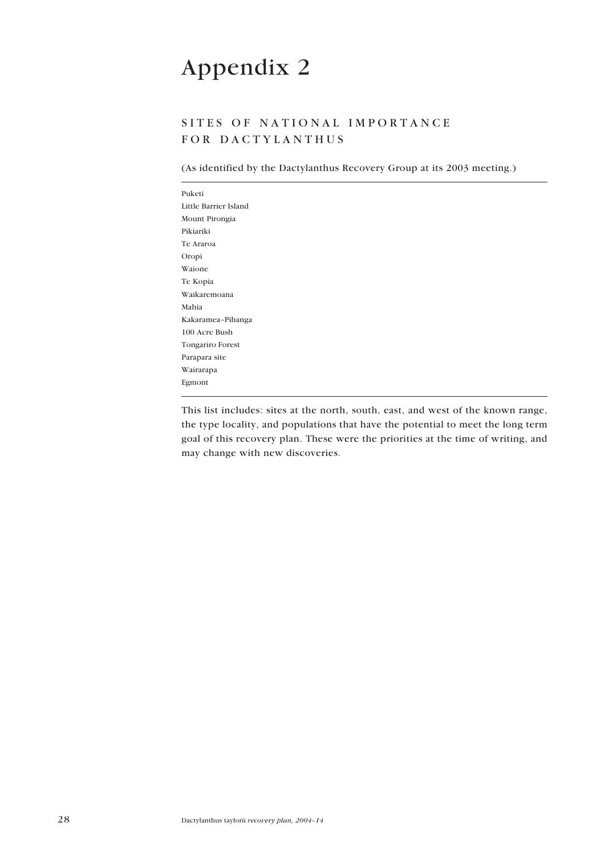# <span id="page-27-0"></span>Appendix 2

## SITES OF NATIONAL IMPORTANCE FOR DACTYLANTHUS

(As identified by the Dactylanthus Recovery Group at its 2003 meeting.)

| Puketi                  |  |  |  |
|-------------------------|--|--|--|
| Little Barrier Island   |  |  |  |
| Mount Pirongia          |  |  |  |
| Pikiariki               |  |  |  |
| Te Araroa               |  |  |  |
| Oropi                   |  |  |  |
| Waione                  |  |  |  |
| Te Kopia                |  |  |  |
| Waikaremoana            |  |  |  |
| Mahia                   |  |  |  |
| Kakaramea-Pihanga       |  |  |  |
| 100 Acre Bush           |  |  |  |
| <b>Tongariro Forest</b> |  |  |  |
| Parapara site           |  |  |  |
| Wairarapa               |  |  |  |
| Egmont                  |  |  |  |

This list includes: sites at the north, south, east, and west of the known range, the type locality, and populations that have the potential to meet the long term goal of this recovery plan. These were the priorities at the time of writing, and may change with new discoveries.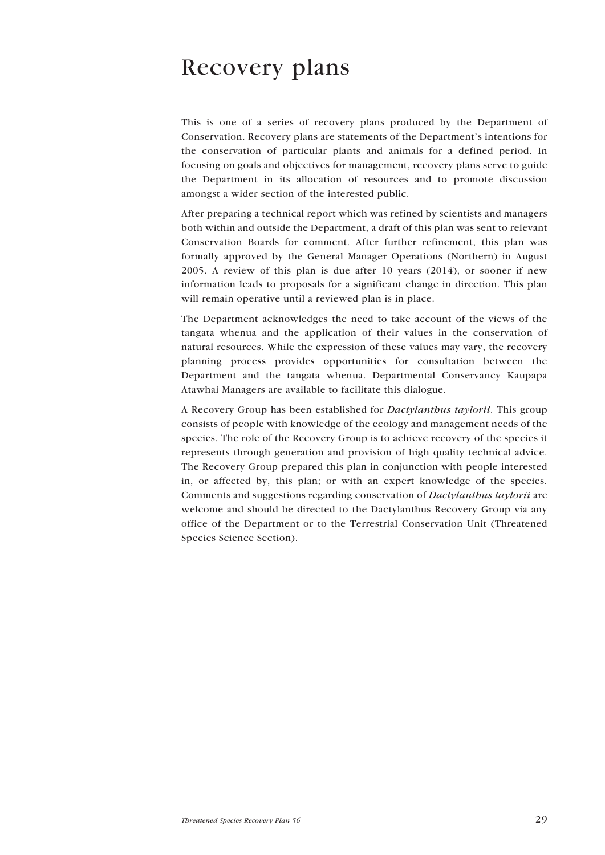## Recovery plans

This is one of a series of recovery plans produced by the Department of Conservation. Recovery plans are statements of the Department's intentions for the conservation of particular plants and animals for a defined period. In focusing on goals and objectives for management, recovery plans serve to guide the Department in its allocation of resources and to promote discussion amongst a wider section of the interested public.

After preparing a technical report which was refined by scientists and managers both within and outside the Department, a draft of this plan was sent to relevant Conservation Boards for comment. After further refinement, this plan was formally approved by the General Manager Operations (Northern) in August 2005. A review of this plan is due after 10 years  $(2014)$ , or sooner if new information leads to proposals for a significant change in direction. This plan will remain operative until a reviewed plan is in place.

The Department acknowledges the need to take account of the views of the tangata whenua and the application of their values in the conservation of natural resources. While the expression of these values may vary, the recovery planning process provides opportunities for consultation between the Department and the tangata whenua. Departmental Conservancy Kaupapa Atawhai Managers are available to facilitate this dialogue.

A Recovery Group has been established for *Dactylanthus taylorii*. This group consists of people with knowledge of the ecology and management needs of the species. The role of the Recovery Group is to achieve recovery of the species it represents through generation and provision of high quality technical advice. The Recovery Group prepared this plan in conjunction with people interested in, or affected by, this plan; or with an expert knowledge of the species. Comments and suggestions regarding conservation of *Dactylanthus taylorii* are welcome and should be directed to the Dactylanthus Recovery Group via any office of the Department or to the Terrestrial Conservation Unit (Threatened Species Science Section).